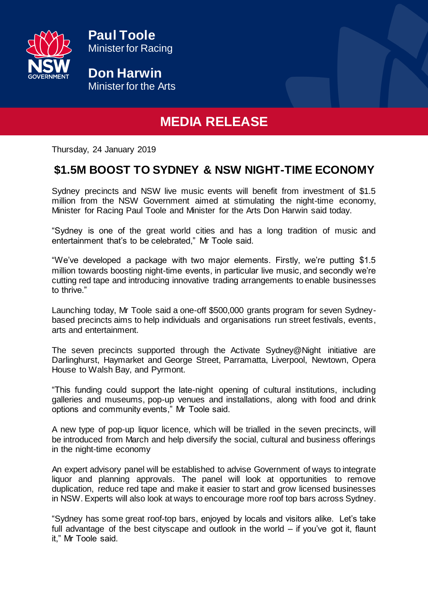

**Paul Toole** Minister for Racing

**Don Harwin** Minister for the Arts

## **MEDIA RELEASE**

Thursday, 24 January 2019

## **\$1.5M BOOST TO SYDNEY & NSW NIGHT-TIME ECONOMY**

Sydney precincts and NSW live music events will benefit from investment of \$1.5 million from the NSW Government aimed at stimulating the night-time economy, Minister for Racing Paul Toole and Minister for the Arts Don Harwin said today.

"Sydney is one of the great world cities and has a long tradition of music and entertainment that's to be celebrated," Mr Toole said.

"We've developed a package with two major elements. Firstly, we're putting \$1.5 million towards boosting night-time events, in particular live music, and secondly we're cutting red tape and introducing innovative trading arrangements to enable businesses to thrive."

Launching today, Mr Toole said a one-off \$500,000 grants program for seven Sydneybased precincts aims to help individuals and organisations run street festivals, events, arts and entertainment.

The seven precincts supported through the Activate Sydney@Night initiative are Darlinghurst, Haymarket and George Street, Parramatta, Liverpool, Newtown, Opera House to Walsh Bay, and Pyrmont.

"This funding could support the late-night opening of cultural institutions, including galleries and museums, pop-up venues and installations, along with food and drink options and community events," Mr Toole said.

A new type of pop-up liquor licence, which will be trialled in the seven precincts, will be introduced from March and help diversify the social, cultural and business offerings in the night-time economy

An expert advisory panel will be established to advise Government of ways to integrate liquor and planning approvals. The panel will look at opportunities to remove duplication, reduce red tape and make it easier to start and grow licensed businesses in NSW. Experts will also look at ways to encourage more roof top bars across Sydney.

"Sydney has some great roof-top bars, enjoyed by locals and visitors alike. Let's take full advantage of the best cityscape and outlook in the world – if you've got it, flaunt it," Mr Toole said.